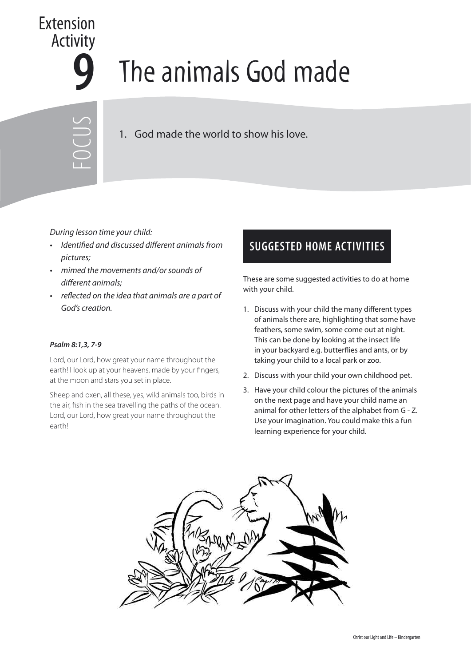

## **9** The animals God made

FOCUS

1. God made the world to show his love.

During lesson time your child:

- Identified and discussed different animals from pictures;
- mimed the movements and/or sounds of different animals;
- reflected on the idea that animals are a part of God's creation.

## **Psalm 8:1,3, 7-9**

Lord, our Lord, how great your name throughout the earth! I look up at your heavens, made by your fingers, at the moon and stars you set in place.

Sheep and oxen, all these, yes, wild animals too, birds in the air, fish in the sea travelling the paths of the ocean. Lord, our Lord, how great your name throughout the earth!

## **SUGGESTED HOME ACTIVITIES**

These are some suggested activities to do at home with your child.

- 1. Discuss with your child the many different types of animals there are, highlighting that some have feathers, some swim, some come out at night. This can be done by looking at the insect life in your backyard e.g. butterflies and ants, or by taking your child to a local park or zoo.
- 2. Discuss with your child your own childhood pet.
- 3. Have your child colour the pictures of the animals on the next page and have your child name an animal for other letters of the alphabet from G - Z. Use your imagination. You could make this a fun learning experience for your child.